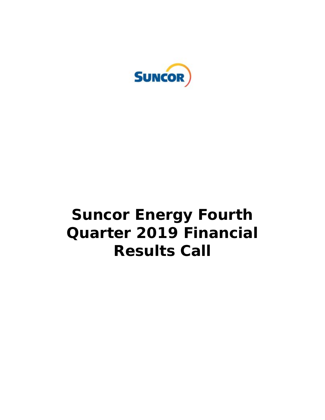

# **Suncor Energy Fourth Quarter 2019 Financial Results Call**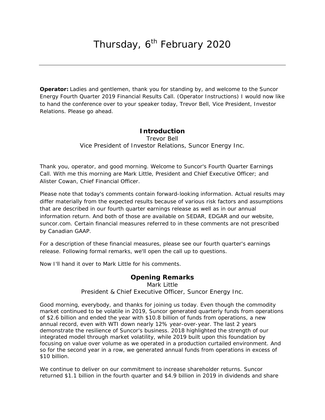**Operator:** Ladies and gentlemen, thank you for standing by, and welcome to the Suncor Energy Fourth Quarter 2019 Financial Results Call. (Operator Instructions) I would now like to hand the conference over to your speaker today, Trevor Bell, Vice President, Investor Relations. Please go ahead.

# **Introduction**

Trevor Bell *Vice President of Investor Relations, Suncor Energy Inc.*

Thank you, operator, and good morning. Welcome to Suncor's Fourth Quarter Earnings Call. With me this morning are Mark Little, President and Chief Executive Officer; and Alister Cowan, Chief Financial Officer.

Please note that today's comments contain forward-looking information. Actual results may differ materially from the expected results because of various risk factors and assumptions that are described in our fourth quarter earnings release as well as in our annual information return. And both of those are available on SEDAR, EDGAR and our website, suncor.com. Certain financial measures referred to in these comments are not prescribed by Canadian GAAP.

For a description of these financial measures, please see our fourth quarter's earnings release. Following formal remarks, we'll open the call up to questions.

Now I'll hand it over to Mark Little for his comments.

## **Opening Remarks**

Mark Little *President & Chief Executive Officer, Suncor Energy Inc.*

Good morning, everybody, and thanks for joining us today. Even though the commodity market continued to be volatile in 2019, Suncor generated quarterly funds from operations of \$2.6 billion and ended the year with \$10.8 billion of funds from operations, a new annual record, even with WTI down nearly 12% year-over-year. The last 2 years demonstrate the resilience of Suncor's business. 2018 highlighted the strength of our integrated model through market volatility, while 2019 built upon this foundation by focusing on value over volume as we operated in a production curtailed environment. And so for the second year in a row, we generated annual funds from operations in excess of \$10 billion.

We continue to deliver on our commitment to increase shareholder returns. Suncor returned \$1.1 billion in the fourth quarter and \$4.9 billion in 2019 in dividends and share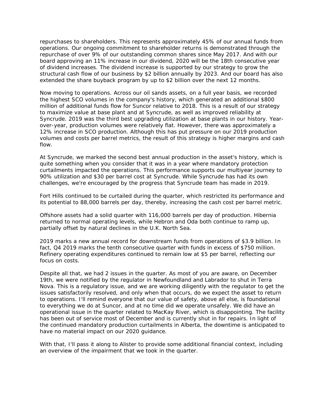repurchases to shareholders. This represents approximately 45% of our annual funds from operations. Our ongoing commitment to shareholder returns is demonstrated through the repurchase of over 9% of our outstanding common shares since May 2017. And with our board approving an 11% increase in our dividend, 2020 will be the 18th consecutive year of dividend increases. The dividend increase is supported by our strategy to grow the structural cash flow of our business by \$2 billion annually by 2023. And our board has also extended the share buyback program by up to \$2 billion over the next 12 months.

Now moving to operations. Across our oil sands assets, on a full year basis, we recorded the highest SCO volumes in the company's history, which generated an additional \$800 million of additional funds flow for Suncor relative to 2018. This is a result of our strategy to maximize value at base plant and at Syncrude, as well as improved reliability at Syncrude. 2019 was the third best upgrading utilization at base plants in our history. Yearover-year, production volumes were relatively flat. However, there was approximately a 12% increase in SCO production. Although this has put pressure on our 2019 production volumes and costs per barrel metrics, the result of this strategy is higher margins and cash flow.

At Syncrude, we marked the second best annual production in the asset's history, which is quite something when you consider that it was in a year where mandatory protection curtailments impacted the operations. This performance supports our multiyear journey to 90% utilization and \$30 per barrel cost at Syncrude. While Syncrude has had its own challenges, we're encouraged by the progress that Syncrude team has made in 2019.

Fort Hills continued to be curtailed during the quarter, which restricted its performance and its potential to 88,000 barrels per day, thereby, increasing the cash cost per barrel metric.

Offshore assets had a solid quarter with 116,000 barrels per day of production. Hibernia returned to normal operating levels, while Hebron and Oda both continue to ramp up, partially offset by natural declines in the U.K. North Sea.

2019 marks a new annual record for downstream funds from operations of \$3.9 billion. In fact, Q4 2019 marks the tenth consecutive quarter with funds in excess of \$750 million. Refinery operating expenditures continued to remain low at \$5 per barrel, reflecting our focus on costs.

Despite all that, we had 2 issues in the quarter. As most of you are aware, on December 19th, we were notified by the regulator in Newfoundland and Labrador to shut in Terra Nova. This is a regulatory issue, and we are working diligently with the regulator to get the issues satisfactorily resolved, and only when that occurs, do we expect the asset to return to operations. I'll remind everyone that our value of safety, above all else, is foundational to everything we do at Suncor, and at no time did we operate unsafely. We did have an operational issue in the quarter related to MacKay River, which is disappointing. The facility has been out of service most of December and is currently shut in for repairs. In light of the continued mandatory production curtailments in Alberta, the downtime is anticipated to have no material impact on our 2020 guidance.

With that, I'll pass it along to Alister to provide some additional financial context, including an overview of the impairment that we took in the quarter.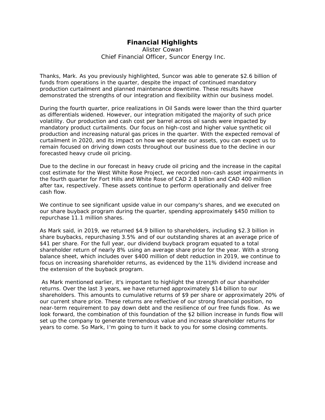## **Financial Highlights**

Alister Cowan *Chief Financial Officer, Suncor Energy Inc.*

Thanks, Mark. As you previously highlighted, Suncor was able to generate \$2.6 billion of funds from operations in the quarter, despite the impact of continued mandatory production curtailment and planned maintenance downtime. These results have demonstrated the strengths of our integration and flexibility within our business model.

During the fourth quarter, price realizations in Oil Sands were lower than the third quarter as differentials widened. However, our integration mitigated the majority of such price volatility. Our production and cash cost per barrel across oil sands were impacted by mandatory product curtailments. Our focus on high-cost and higher value synthetic oil production and increasing natural gas prices in the quarter. With the expected removal of curtailment in 2020, and its impact on how we operate our assets, you can expect us to remain focused on driving down costs throughout our business due to the decline in our forecasted heavy crude oil pricing.

Due to the decline in our forecast in heavy crude oil pricing and the increase in the capital cost estimate for the West White Rose Project, we recorded non-cash asset impairments in the fourth quarter for Fort Hills and White Rose of CAD 2.8 billion and CAD 400 million after tax, respectively. These assets continue to perform operationally and deliver free cash flow.

We continue to see significant upside value in our company's shares, and we executed on our share buyback program during the quarter, spending approximately \$450 million to repurchase 11.1 million shares.

As Mark said, in 2019, we returned \$4.9 billion to shareholders, including \$2.3 billion in share buybacks, repurchasing 3.5% and of our outstanding shares at an average price of \$41 per share. For the full year, our dividend buyback program equated to a total shareholder return of nearly 8% using an average share price for the year. With a strong balance sheet, which includes over \$400 million of debt reduction in 2019, we continue to focus on increasing shareholder returns, as evidenced by the 11% dividend increase and the extension of the buyback program.

 As Mark mentioned earlier, it's important to highlight the strength of our shareholder returns. Over the last 3 years, we have returned approximately \$14 billion to our shareholders. This amounts to cumulative returns of \$9 per share or approximately 20% of our current share price. These returns are reflective of our strong financial position, no near-term requirement to pay down debt and the resilience of our free funds flow. As we look forward, the combination of this foundation of the \$2 billion increase in funds flow will set up the company to generate tremendous value and increase shareholder returns for years to come. So Mark, I'm going to turn it back to you for some closing comments.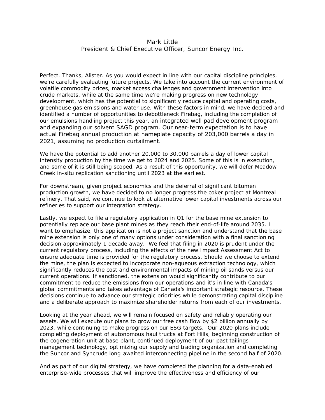## Mark Little *President & Chief Executive Officer, Suncor Energy Inc.*

Perfect. Thanks, Alister. As you would expect in line with our capital discipline principles, we're carefully evaluating future projects. We take into account the current environment of volatile commodity prices, market access challenges and government intervention into crude markets, while at the same time we're making progress on new technology development, which has the potential to significantly reduce capital and operating costs, greenhouse gas emissions and water use. With these factors in mind, we have decided and identified a number of opportunities to debottleneck Firebag, including the completion of our emulsions handling project this year, an integrated well pad development program and expanding our solvent SAGD program. Our near-term expectation is to have actual Firebag annual production at nameplate capacity of 203,000 barrels a day in 2021, assuming no production curtailment.

We have the potential to add another 20,000 to 30,000 barrels a day of lower capital intensity production by the time we get to 2024 and 2025. Some of this is in execution, and some of it is still being scoped. As a result of this opportunity, we will defer Meadow Creek in-situ replication sanctioning until 2023 at the earliest.

For downstream, given project economics and the deferral of significant bitumen production growth, we have decided to no longer progress the coker project at Montreal refinery. That said, we continue to look at alternative lower capital investments across our refineries to support our integration strategy.

Lastly, we expect to file a regulatory application in Q1 for the base mine extension to potentially replace our base plant mines as they reach their end-of-life around 2035. I want to emphasize, this application is not a project sanction and understand that the base mine extension is only one of many options under consideration with a final sanctioning decision approximately 1 decade away. We feel that filing in 2020 is prudent under the current regulatory process, including the effects of the new Impact Assessment Act to ensure adequate time is provided for the regulatory process. Should we choose to extend the mine, the plan is expected to incorporate non-aqueous extraction technology, which significantly reduces the cost and environmental impacts of mining oil sands versus our current operations. If sanctioned, the extension would significantly contribute to our commitment to reduce the emissions from our operations and it's in line with Canada's global commitments and takes advantage of Canada's important strategic resource. These decisions continue to advance our strategic priorities while demonstrating capital discipline and a deliberate approach to maximize shareholder returns from each of our investments.

Looking at the year ahead, we will remain focused on safety and reliably operating our assets. We will execute our plans to grow our free cash flow by \$2 billion annually by 2023, while continuing to make progress on our ESG targets. Our 2020 plans include completing deployment of autonomous haul trucks at Fort Hills, beginning construction of the cogeneration unit at base plant, continued deployment of our past tailings management technology, optimizing our supply and trading organization and completing the Suncor and Syncrude long-awaited interconnecting pipeline in the second half of 2020.

And as part of our digital strategy, we have completed the planning for a data-enabled enterprise-wide processes that will improve the effectiveness and efficiency of our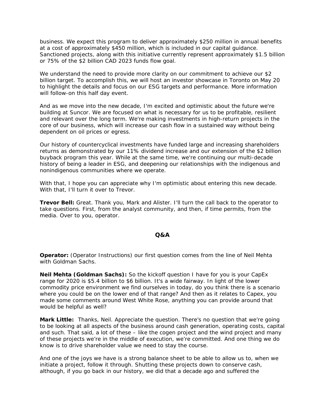business. We expect this program to deliver approximately \$250 million in annual benefits at a cost of approximately \$450 million, which is included in our capital guidance. Sanctioned projects, along with this initiative currently represent approximately \$1.5 billion or 75% of the \$2 billion CAD 2023 funds flow goal.

We understand the need to provide more clarity on our commitment to achieve our \$2 billion target. To accomplish this, we will host an investor showcase in Toronto on May 20 to highlight the details and focus on our ESG targets and performance. More information will follow-on this half day event.

And as we move into the new decade, I'm excited and optimistic about the future we're building at Suncor. We are focused on what is necessary for us to be profitable, resilient and relevant over the long term. We're making investments in high-return projects in the core of our business, which will increase our cash flow in a sustained way without being dependent on oil prices or egress.

Our history of countercyclical investments have funded large and increasing shareholders returns as demonstrated by our 11% dividend increase and our extension of the \$2 billion buyback program this year. While at the same time, we're continuing our multi-decade history of being a leader in ESG, and deepening our relationships with the indigenous and nonindigenous communities where we operate.

With that, I hope you can appreciate why I'm optimistic about entering this new decade. With that, I'll turn it over to Trevor.

**Trevor Bell:** Great. Thank you, Mark and Alister. I'll turn the call back to the operator to take questions. First, from the analyst community, and then, if time permits, from the media. Over to you, operator.

### **Q&A**

**Operator:** (Operator Instructions) our first question comes from the line of Neil Mehta with Goldman Sachs.

**Neil Mehta (Goldman Sachs):** So the kickoff question I have for you is your CapEx range for 2020 is \$5.4 billion to \$6 billion. It's a wide fairway. In light of the lower commodity price environment we find ourselves in today, do you think there is a scenario where you could be on the lower end of that range? And then as it relates to Capex, you made some comments around West White Rose, anything you can provide around that would be helpful as well?

**Mark Little:** Thanks, Neil. Appreciate the question. There's no question that we're going to be looking at all aspects of the business around cash generation, operating costs, capital and such. That said, a lot of these – like the cogen project and the wind project and many of these projects we're in the middle of execution, we're committed. And one thing we do know is to drive shareholder value we need to stay the course.

And one of the joys we have is a strong balance sheet to be able to allow us to, when we initiate a project, follow it through. Shutting these projects down to conserve cash, although, if you go back in our history, we did that a decade ago and suffered the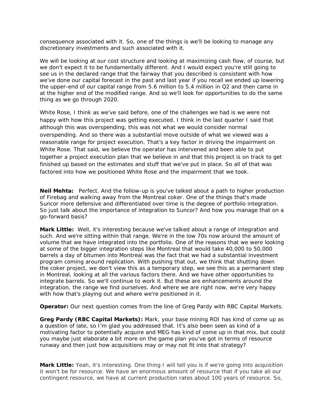consequence associated with it. So, one of the things is we'll be looking to manage any discretionary investments and such associated with it.

We will be looking at our cost structure and looking at maximizing cash flow, of course, but we don't expect it to be fundamentally different. And I would expect you're still going to see us in the declared range that the fairway that you described is consistent with how we've done our capital forecast in the past and last year if you recall we ended up lowering the upper-end of our capital range from 5.6 million to 5.4 million in Q2 and then came in at the higher end of the modified range. And so we'll look for opportunities to do the same thing as we go through 2020.

White Rose, I think as we've said before, one of the challenges we had is we were not happy with how this project was getting executed. I think in the last quarter I said that although this was overspending, this was not what we would consider normal overspending. And so there was a substantial move outside of what we viewed was a reasonable range for project execution. That's a key factor in driving the impairment on White Rose. That said, we believe the operator has intervened and been able to put together a project execution plan that we believe in and that this project is on track to get finished up based on the estimates and stuff that we've put in place. So all of that was factored into how we positioned White Rose and the impairment that we took.

**Neil Mehta:** Perfect. And the follow-up is you've talked about a path to higher production of Firebag and walking away from the Montreal coker. One of the things that's made Suncor more defensive and differentiated over time is the degree of portfolio integration. So just talk about the importance of integration to Suncor? And how you manage that on a go-forward basis?

**Mark Little:** Well, it's interesting because we've talked about a range of integration and such. And we're sitting within that range. We're in the low 70s now around the amount of volume that we have integrated into the portfolio. One of the reasons that we were looking at some of the bigger integration steps like Montreal that would take 40,000 to 50,000 barrels a day of bitumen into Montreal was the fact that we had a substantial investment program coming around replication. With pushing that out, we think that shutting down the coker project, we don't view this as a temporary step, we see this as a permanent step in Montreal, looking at all the various factors there. And we have other opportunities to integrate barrels. So we'll continue to work it. But these are enhancements around the integration, the range we find ourselves. And where we are right now, we're very happy with how that's playing out and where we're positioned in it.

**Operator:** Our next question comes from the line of Greg Pardy with RBC Capital Markets.

**Greg Pardy (RBC Capital Markets):** Mark, your base mining ROI has kind of come up as a question of late, so I'm glad you addressed that. It's also been seen as kind of a motivating factor to potentially acquire and MEG has kind of come up in that mix, but could you maybe just elaborate a bit more on the game plan you've got in terms of resource runway and then just how acquisitions may or may not fit into that strategy?

**Mark Little:** Yeah, it's interesting. One thing I will tell you is if we're going into acquisition it won't be for resource. We have an enormous amount of resource that if you take all our contingent resource, we have at current production rates about 100 years of resource. So,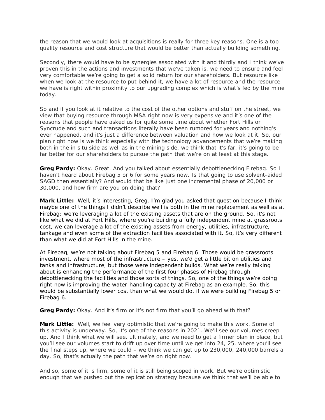the reason that we would look at acquisitions is really for three key reasons. One is a topquality resource and cost structure that would be better than actually building something.

Secondly, there would have to be synergies associated with it and thirdly and I think we've proven this in the actions and investments that we've taken is, we need to ensure and feel very comfortable we're going to get a solid return for our shareholders. But resource like when we look at the resource to put behind it, we have a lot of resource and the resource we have is right within proximity to our upgrading complex which is what's fed by the mine today.

So and if you look at it relative to the cost of the other options and stuff on the street, we view that buying resource through M&A right now is very expensive and it's one of the reasons that people have asked us for quite some time about whether Fort Hills or Syncrude and such and transactions literally have been rumored for years and nothing's ever happened, and it's just a difference between valuation and how we look at it. So, our plan right now is we think especially with the technology advancements that we're making both in the in situ side as well as in the mining side, we think that it's far, it's going to be far better for our shareholders to pursue the path that we're on at least at this stage.

**Greg Pardy:** Okay. Great. And you talked about essentially debottlenecking Firebag. So I haven't heard about Firebag 5 or 6 for some years now. Is that going to use solvent-aided SAGD then essentially? And would that be like just one incremental phase of 20,000 or 30,000, and how firm are you on doing that?

**Mark Little:** Well, it's interesting, Greg. I'm glad you asked that question because I think maybe one of the things I didn't describe well is both in the mine replacement as well as at Firebag; we're leveraging a lot of the existing assets that are on the ground. So, it's not like what we did at Fort Hills, where you're building a fully independent mine at grassroots cost, we can leverage a lot of the existing assets from energy, utilities, infrastructure, tankage and even some of the extraction facilities associated with it. So, it's very different than what we did at Fort Hills in the mine.

At Firebag, we're not talking about Firebag 5 and Firebag 6. Those would be grassroots investment, where most of the infrastructure – yes, we'd get a little bit on utilities and tanks and infrastructure, but those were independent builds. What we're really talking about is enhancing the performance of the first four phases of Firebag through debottlenecking the facilities and those sorts of things. So, one of the things we're doing right now is improving the water-handling capacity at Firebag as an example. So, this would be substantially lower cost than what we would do, if we were building Firebag 5 or Firebag 6.

**Greg Pardy:** Okay. And it's firm or it's not firm that you'll go ahead with that?

**Mark Little:** Well, we feel very optimistic that we're going to make this work. Some of this activity is underway. So, it's one of the reasons in 2021. We'll see our volumes creep up. And I think what we will see, ultimately, and we need to get a firmer plan in place, but you'll see our volumes start to drift up over time until we get into 24, 25, where you'll see the final steps up, where we could – we think we can get up to 230,000, 240,000 barrels a day. So, that's actually the path that we're on right now.

And so, some of it is firm, some of it is still being scoped in work. But we're optimistic enough that we pushed out the replication strategy because we think that we'll be able to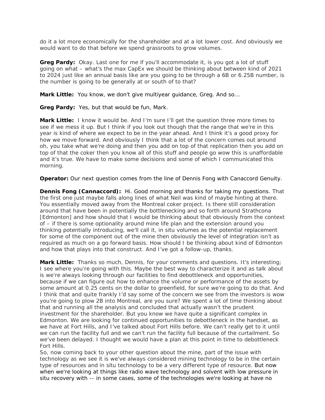do it a lot more economically for the shareholder and at a lot lower cost. And obviously we would want to do that before we spend grassroots to grow volumes.

Greg Pardy: Okay. Last one for me if you'll accommodate it, is you got a lot of stuff going on what – what's the max CapEx we should be thinking about between kind of 2021 to 2024 just like an annual basis like are you going to be through a 6B or 6.25B number, is the number is going to be generally at or south of to that?

**Mark Little:** You know, we don't give multiyear guidance, Greg. And so...

**Greg Pardy:** Yes, but that would be fun, Mark.

**Mark Little:** I know it would be. And I'm sure I'll get the question three more times to see if we mess it up. But I think if you look out though that the range that we're in this year is kind of where we expect to be in the year ahead. And I think it's a good proxy for how we move forward. And obviously I think that a lot of the concern comes out around oh, you take what we're doing and then you add on top of that replication then you add on top of that the coker then you know all of this stuff and people go wow this is unaffordable and it's true. We have to make some decisions and some of which I communicated this morning.

**Operator:** Our next question comes from the line of Dennis Fong with Canaccord Genuity.

**Dennis Fong (Cannaccord):** Hi. Good morning and thanks for taking my questions. That the first one just maybe falls along lines of what Neil was kind of maybe hinting at there. You essentially moved away from the Montreal coker project. Is there still consideration around that have been in potentially the bottlenecking and so forth around Strathcona [Edmonton] and how should that I would be thinking about that obviously from the context of – if there is some optionality around mine life plan and the extension around you thinking potentially introducing, we'll call it, in situ volumes as the potential replacement for some of the component out of the mine then obviously the level of integration isn't as required as much on a go forward basis. How should I be thinking about kind of Edmonton and how that plays into that construct. And I've got a follow-up, thanks.

**Mark Little:** Thanks so much, Dennis, for your comments and questions. It's interesting; I see where you're going with this. Maybe the best way to characterize it and as talk about is we're always looking through our facilities to find debottleneck and opportunities, because if we can figure out how to enhance the volume or performance of the assets by some amount at 0.25 cents on the dollar to greenfield, for sure we're going to do that. And I think that and quite frankly I'd say some of the concern we see from the investors is wow you're going to plow 2B into Montreal, are you sure? We spent a lot of time thinking about that and running all the analysis and concluded that actually wasn't the prudent investment for the shareholder. But you know we have quite a significant complex in Edmonton. We are looking for continued opportunities to debottleneck in the handset, as we have at Fort Hills, and I've talked about Fort Hills before. We can't really get to it until we can run the facility full and we can't run the facility full because of the curtailment. So we've been delayed. I thought we would have a plan at this point in time to debottleneck Fort Hills.

So, now coming back to your other question about the mine, part of the issue with technology as we see it is we've always considered mining technology to be in the certain type of resources and in situ technology to be a very different type of resource. But now when we're looking at things like radio wave technology and solvent with low pressure in situ recovery with -- in some cases, some of the technologies we're looking at have no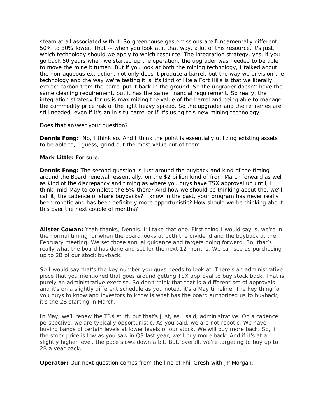steam at all associated with it. So greenhouse gas emissions are fundamentally different, 50% to 80% lower. That -- when you look at it that way, a lot of this resource, it's just, which technology should we apply to which resource. The integration strategy, yes, if you go back 50 years when we started up the operation, the upgrader was needed to be able to move the mine bitumen. But if you look at both the mining technology, I talked about the non-aqueous extraction, not only does it produce a barrel, but the way we envision the technology and the way we're testing it is it's kind of like a Fort Hills is that we literally extract carbon from the barrel put it back in the ground. So the upgrader doesn't have the same cleaning requirement, but it has the same financial requirement. So really, the integration strategy for us is maximizing the value of the barrel and being able to manage the commodity price risk of the light heavy spread. So the upgrader and the refineries are still needed, even if it's an in situ barrel or if it's using this new mining technology.

Does that answer your question?

**Dennis Fong:** No, I think so. And I think the point is essentially utilizing existing assets to be able to, I guess, grind out the most value out of them.

## **Mark Little:** For sure.

**Dennis Fong:** The second question is just around the buyback and kind of the timing around the Board renewal, essentially, on the \$2 billion kind of from March forward as well as kind of the discrepancy and timing as where you guys have TSX approval up until, I think, mid-May to complete the 5% there? And how we should be thinking about the, we'll call it, the cadence of share buybacks? I know in the past, your program has never really been robotic and has been definitely more opportunistic? How should we be thinking about this over the next couple of months?

**Alister Cowan:** Yeah thanks, Dennis. I'll take that one. First thing I would say is, we're in the normal timing for when the board looks at both the dividend and the buyback at the February meeting. We set those annual guidance and targets going forward. So, that's really what the board has done and set for the next 12 months. We can see us purchasing up to 2B of our stock buyback.

So I would say that's the key number you guys needs to look at. There's an administrative piece that you mentioned that goes around getting TSX approval to buy stock back. That is purely an administrative exercise. So don't think that that is a different set of approvals and it's on a slightly different schedule as you noted, it's a May timeline. The key thing for you guys to know and investors to know is what has the board authorized us to buyback, it's the 2B starting in March.

In May, we'll renew the TSX stuff, but that's just, as I said, administrative. On a cadence perspective, we are typically opportunistic. As you said, we are not robotic. We have buying bands of certain levels at lower levels of our stock. We will buy more back. So, if the stock price is low as you saw in Q3 last year, we'll buy more back. And if it's at a slightly higher level, the pace slows down a bit. But, overall, we're targeting to buy up to 2B a year back.

**Operator:** Our next question comes from the line of Phil Gresh with JP Morgan.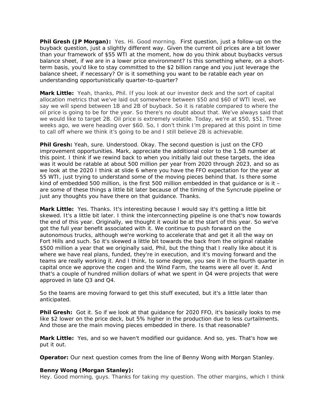**Phil Gresh (JP Morgan):** Yes. Hi. Good morning. First question, just a follow-up on the buyback question, just a slightly different way. Given the current oil prices are a bit lower than your framework of \$55 WTI at the moment, how do you think about buybacks versus balance sheet, if we are in a lower price environment? Is this something where, on a shortterm basis, you'd like to stay committed to the \$2 billion range and you just leverage the balance sheet, if necessary? Or is it something you want to be ratable each year on understanding opportunistically quarter-to-quarter?

**Mark Little:** Yeah, thanks, Phil. If you look at our investor deck and the sort of capital allocation metrics that we've laid out somewhere between \$50 and \$60 of WTI level, we say we will spend between 1B and 2B of buyback. So it is ratable compared to where the oil price is going to be for the year. So there's no doubt about that. We've always said that we would like to target 2B. Oil price is extremely volatile. Today, we're at \$50, \$51. Three weeks ago, we were heading over \$60. So, I don't think I'm prepared at this point in time to call off where we think it's going to be and I still believe 2B is achievable.

**Phil Gresh:** Yeah, sure. Understood. Okay. The second question is just on the CFO improvement opportunities. Mark, appreciate the additional color to the 1.5B number at this point. I think if we rewind back to when you initially laid out these targets, the idea was it would be ratable at about 500 million per year from 2020 through 2023, and so as we look at the 2020 I think at slide 6 where you have the FFO expectation for the year at 55 WTI, just trying to understand some of the moving pieces behind that. Is there some kind of embedded 500 million, is the first 500 million embedded in that guidance or is it – are some of these things a little bit later because of the timing of the Syncrude pipeline or just any thoughts you have there on that guidance. Thanks.

**Mark Little:** Yes. Thanks. It's interesting because I would say it's getting a little bit skewed. It's a little bit later. I think the interconnecting pipeline is one that's now towards the end of this year. Originally, we thought it would be at the start of this year. So we've got the full year benefit associated with it. We continue to push forward on the autonomous trucks, although we're working to accelerate that and get it all the way on Fort Hills and such. So it's skewed a little bit towards the back from the original ratable \$500 million a year that we originally said, Phil, but the thing that I really like about it is where we have real plans, funded, they're in execution, and it's moving forward and the teams are really working it. And I think, to some degree, you see it in the fourth quarter in capital once we approve the cogen and the Wind Farm, the teams were all over it. And that's a couple of hundred million dollars of what we spent in Q4 were projects that were approved in late Q3 and Q4.

So the teams are moving forward to get this stuff executed, but it's a little later than anticipated.

**Phil Gresh:** Got it. So if we look at that guidance for 2020 FFO, it's basically looks to me like \$2 lower on the price deck, but 5% higher in the production due to less curtailments. And those are the main moving pieces embedded in there. Is that reasonable?

**Mark Little:** Yes, and so we haven't modified our guidance. And so, yes. That's how we put it out.

**Operator:** Our next question comes from the line of Benny Wong with Morgan Stanley.

### **Benny Wong (Morgan Stanley):**

Hey. Good morning, guys. Thanks for taking my question. The other margins, which I think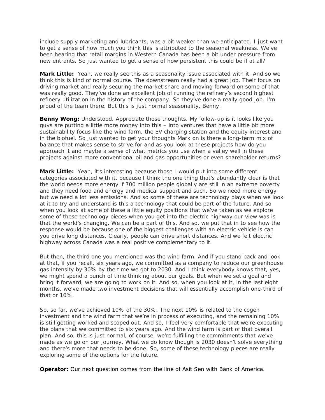include supply marketing and lubricants, was a bit weaker than we anticipated. I just want to get a sense of how much you think this is attributed to the seasonal weakness. We've been hearing that retail margins in Western Canada has been a bit under pressure from new entrants. So just wanted to get a sense of how persistent this could be if at all?

**Mark Little:** Yeah, we really see this as a seasonality issue associated with it. And so we think this is kind of normal course. The downstream really had a great job. Their focus on driving market and really securing the market share and moving forward on some of that was really good. They've done an excellent job of running the refinery's second highest refinery utilization in the history of the company. So they've done a really good job. I'm proud of the team there. But this is just normal seasonality, Benny.

**Benny Wong:** Understood. Appreciate those thoughts. My follow-up is it looks like you guys are putting a little more money into this – into ventures that have a little bit more sustainability focus like the wind farm, the EV charging station and the equity interest and in the biofuel. So just wanted to get your thoughts Mark on is there a long-term mix of balance that makes sense to strive for and as you look at these projects how do you approach it and maybe a sense of what metrics you use when a valley well in these projects against more conventional oil and gas opportunities or even shareholder returns?

**Mark Little:** Yeah, it's interesting because those I would put into some different categories associated with it, because I think the one thing that's abundantly clear is that the world needs more energy if 700 million people globally are still in an extreme poverty and they need food and energy and medical support and such. So we need more energy but we need a lot less emissions. And so some of these are technology plays when we look at it to try and understand is this a technology that could be part of the future. And so when you look at some of these a little equity positions that we've taken as we explore some of these technology pieces when you get into the electric highway our view was is that the world's changing. We can be a part of this. And so, we put that in to see how the response would be because one of the biggest challenges with an electric vehicle is can you drive long distances. Clearly, people can drive short distances. And we felt electric highway across Canada was a real positive complementary to it.

But then, the third one you mentioned was the wind farm. And if you stand back and look at that, if you recall, six years ago, we committed as a company to reduce our greenhouse gas intensity by 30% by the time we got to 2030. And I think everybody knows that, yes, we might spend a bunch of time thinking about our goals. But when we set a goal and bring it forward, we are going to work on it. And so, when you look at it, in the last eight months, we've made two investment decisions that will essentially accomplish one-third of that or 10%.

So, so far, we've achieved 10% of the 30%. The next 10% is related to the cogen investment and the wind farm that we're in process of executing, and the remaining 10% is still getting worked and scoped out. And so, I feel very comfortable that we're executing the plans that we committed to six years ago. And the wind farm is part of that overall plan. And so, this is just normal, of course, we're fulfilling the commitments that we've made as we go on our journey. What we do know though is 2030 doesn't solve everything and there's more that needs to be done. So, some of these technology pieces are really exploring some of the options for the future.

**Operator:** Our next question comes from the line of Asit Sen with Bank of America.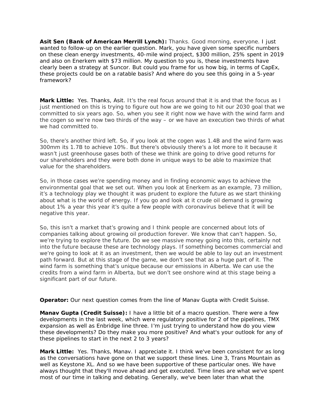**Asit Sen (Bank of American Merrill Lynch):** Thanks. Good morning, everyone. I just wanted to follow-up on the earlier question. Mark, you have given some specific numbers on these clean energy investments, 40-mile wind project, \$300 million, 25% spent in 2019 and also on Enerkem with \$73 million. My question to you is, these investments have clearly been a strategy at Suncor. But could you frame for us how big, in terms of CapEx, these projects could be on a ratable basis? And where do you see this going in a 5-year framework?

**Mark Little:** Yes. Thanks, Asit. It's the real focus around that it is and that the focus as I just mentioned on this is trying to figure out how are we going to hit our 2030 goal that we committed to six years ago. So, when you see it right now we have with the wind farm and the cogen so we're now two thirds of the way – or we have an execution two thirds of what we had committed to.

So, there's another third left. So, if you look at the cogen was 1.4B and the wind farm was 300mm its 1.7B to achieve 10%. But there's obviously there's a lot more to it because it wasn't just greenhouse gases both of these we think are going to drive good returns for our shareholders and they were both done in unique ways to be able to maximize that value for the shareholders.

So, in those cases we're spending money and in finding economic ways to achieve the environmental goal that we set out. When you look at Enerkem as an example, 73 million, it's a technology play we thought it was prudent to explore the future as we start thinking about what is the world of energy. If you go and look at it crude oil demand is growing about 1% a year this year it's quite a few people with coronavirus believe that it will be negative this year.

So, this isn't a market that's growing and I think people are concerned about lots of companies talking about growing oil production forever. We know that can't happen. So, we're trying to explore the future. Do we see massive money going into this, certainly not into the future because these are technology plays. If something becomes commercial and we're going to look at it as an investment, then we would be able to lay out an investment path forward. But at this stage of the game, we don't see that as a huge part of it. The wind farm is something that's unique because our emissions in Alberta. We can use the credits from a wind farm in Alberta, but we don't see onshore wind at this stage being a significant part of our future.

**Operator:** Our next question comes from the line of Manav Gupta with Credit Suisse.

**Manav Gupta (Credit Suisse):** I have a little bit of a macro question. There were a few developments in the last week, which were regulatory positive for 2 of the pipelines, TMX expansion as well as Enbridge line three. I'm just trying to understand how do you view these developments? Do they make you more positive? And what's your outlook for any of these pipelines to start in the next 2 to 3 years?

**Mark Little:** Yes. Thanks, Manav. I appreciate it. I think we've been consistent for as long as the conversations have gone on that we support these lines. Line 3, Trans Mountain as well as Keystone XL. And so we have been supportive of these particular ones. We have always thought that they'll move ahead and get executed. Time lines are what we've spent most of our time in talking and debating. Generally, we've been later than what the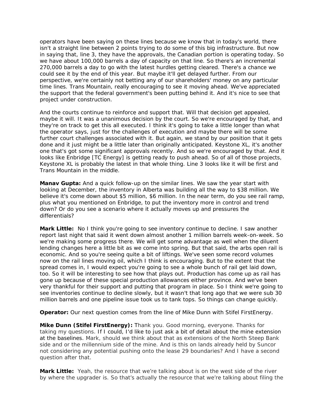operators have been saying on these lines because we know that in today's world, there isn't a straight line between 2 points trying to do some of this big infrastructure. But now in saying that, line 3, they have the approvals, the Canadian portion is operating today. So we have about 100,000 barrels a day of capacity on that line. So there's an incremental 270,000 barrels a day to go with the latest hurdles getting cleared. There's a chance we could see it by the end of this year. But maybe it'll get delayed further. From our perspective, we're certainly not betting any of our shareholders' money on any particular time lines. Trans Mountain, really encouraging to see it moving ahead. We've appreciated the support that the federal government's been putting behind it. And it's nice to see that project under construction.

And the courts continue to reinforce and support that. Will that decision get appealed, maybe it will. It was a unanimous decision by the court. So we're encouraged by that, and they're on track to get this all executed. I think it's going to take a little longer than what the operator says, just for the challenges of execution and maybe there will be some further court challenges associated with it. But again, we stand by our position that it gets done and it just might be a little later than originally anticipated. Keystone XL, it's another one that's got some significant approvals recently. And so we're encouraged by that. And it looks like Enbridge [TC Energy] is getting ready to push ahead. So of all of those projects, Keystone XL is probably the latest in that whole thing. Line 3 looks like it will be first and Trans Mountain in the middle.

**Manav Gupta:** And a quick follow-up on the similar lines. We saw the year start with looking at December, the inventory in Alberta was building all the way to \$38 million. We believe it's come down about \$5 million, \$6 million. In the near term, do you see rail ramp, plus what you mentioned on Enbridge, to put the inventory more in control and trend down? Or do you see a scenario where it actually moves up and pressures the differentials?

**Mark Little:** No I think you're going to see inventory continue to decline. I saw another report last night that said it went down almost another 1 million barrels week-on-week. So we're making some progress there. We will get some advantage as well when the diluent lending changes here a little bit as we come into spring. But that said, the arbs open rail is economic. And so you're seeing quite a bit of liftings. We've seen some record volumes now on the rail lines moving oil, which I think is encouraging. But to the extent that the spread comes in, I would expect you're going to see a whole bunch of rail get laid down, too. So it will be interesting to see how that plays out. Production has come up as rail has gone up because of these special production allowances either province. And we've been very thankful for their support and putting that program in place. So I think we're going to see inventories continue to decline slowly, but it wasn't that long ago that we were sub 30 million barrels and one pipeline issue took us to tank tops. So things can change quickly.

**Operator:** Our next question comes from the line of Mike Dunn with Stifel FirstEnergy.

**Mike Dunn (Stifel FirstEnergy):** Thank you. Good morning, everyone. Thanks for taking my questions. If I could, I'd like to just ask a bit of detail about the mine extension at the baselines. Mark, should we think about that as extensions of the North Steep Bank side and or the millennium side of the mine. And is this on lands already held by Suncor not considering any potential pushing onto the lease 29 boundaries? And I have a second question after that.

**Mark Little:** Yeah, the resource that we're talking about is on the west side of the river by where the upgrader is. So that's actually the resource that we're talking about filing the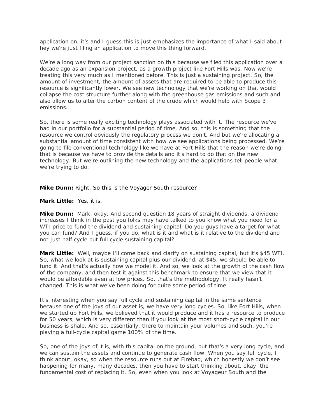application on, it's and I guess this is just emphasizes the importance of what I said about hey we're just filing an application to move this thing forward.

We're a long way from our project sanction on this because we filed this application over a decade ago as an expansion project, as a growth project like Fort Hills was. Now we're treating this very much as I mentioned before. This is just a sustaining project. So, the amount of investment, the amount of assets that are required to be able to produce this resource is significantly lower. We see new technology that we're working on that would collapse the cost structure further along with the greenhouse gas emissions and such and also allow us to alter the carbon content of the crude which would help with Scope 3 emissions.

So, there is some really exciting technology plays associated with it. The resource we've had in our portfolio for a substantial period of time. And so, this is something that the resource we control obviously the regulatory process we don't. And but we're allocating a substantial amount of time consistent with how we see applications being processed. We're going to file conventional technology like we have at Fort Hills that the reason we're doing that is because we have to provide the details and it's hard to do that on the new technology. But we're outlining the new technology and the applications tell people what we're trying to do.

### **Mike Dunn:** Right. So this is the Voyager South resource?

**Mark Little:** Yes, it is.

**Mike Dunn:** Mark, okay. And second question 18 years of straight dividends, a dividend increases I think in the past you folks may have talked to you know what you need for a WTI price to fund the dividend and sustaining capital. Do you guys have a target for what you can fund? And I guess, if you do, what is it and what is it relative to the dividend and not just half cycle but full cycle sustaining capital?

**Mark Little:** Well, maybe I'll come back and clarify on sustaining capital, but it's \$45 WTI. So, what we look at is sustaining capital plus our dividend, at \$45, we should be able to fund it. And that's actually how we model it. And so, we look at the growth of the cash flow of the company, and then test it against this benchmark to ensure that we view that it would be affordable even at low prices. So, that's the methodology. It really hasn't changed. This is what we've been doing for quite some period of time.

It's interesting when you say full cycle and sustaining capital in the same sentence because one of the joys of our asset is, we have very long cycles. So, like Fort Hills, when we started up Fort Hills, we believed that it would produce and it has a resource to produce for 50 years, which is very different than if you look at the most short-cycle capital in our business is shale. And so, essentially, there to maintain your volumes and such, you're playing a full-cycle capital game 100% of the time.

So, one of the joys of it is, with this capital on the ground, but that's a very long cycle, and we can sustain the assets and continue to generate cash flow. When you say full cycle, I think about, okay, so when the resource runs out at Firebag, which honestly we don't see happening for many, many decades, then you have to start thinking about, okay, the fundamental cost of replacing it. So, even when you look at Voyageur South and the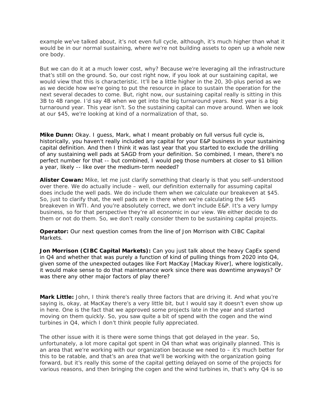example we've talked about, it's not even full cycle, although, it's much higher than what it would be in our normal sustaining, where we're not building assets to open up a whole new ore body.

But we can do it at a much lower cost, why? Because we're leveraging all the infrastructure that's still on the ground. So, our cost right now, if you look at our sustaining capital, we would view that this is characteristic. It'll be a little higher in the 20, 30-plus period as we as we decide how we're going to put the resource in place to sustain the operation for the next several decades to come. But, right now, our sustaining capital really is sitting in this 3B to 4B range. I'd say 4B when we get into the big turnaround years. Next year is a big turnaround year. This year isn't. So the sustaining capital can move around. When we look at our \$45, we're looking at kind of a normalization of that, so.

**Mike Dunn:** Okay. I guess, Mark, what I meant probably on full versus full cycle is, historically, you haven't really included any capital for your E&P business in your sustaining capital definition. And then I think it was last year that you started to exclude the drilling of any sustaining well pads at SAGD from your definition. So combined, I mean, there's no perfect number for that -- but combined, I would peg those numbers at closer to \$1 billion a year, likely -- like over the medium-term needed?

**Alister Cowan:** Mike, let me just clarify something that clearly is that you self-understood over there. We do actually include – well, our definition externally for assuming capital does include the well pads. We do include them when we calculate our breakeven at \$45. So, just to clarify that, the well pads are in there when we're calculating the \$45 breakeven in WTI. And you're absolutely correct, we don't include E&P. It's a very lumpy business, so for that perspective they're all economic in our view. We either decide to do them or not do them. So, we don't really consider them to be sustaining capital projects.

**Operator:** Our next question comes from the line of Jon Morrison with CIBC Capital Markets.

**Jon Morrison (CIBC Capital Markets):** Can you just talk about the heavy CapEx spend in Q4 and whether that was purely a function of kind of pulling things from 2020 into Q4, given some of the unexpected outages like Fort MacKay [Mackay River], where logistically, it would make sense to do that maintenance work since there was downtime anyways? Or was there any other major factors of play there?

**Mark Little:** John, I think there's really three factors that are driving it. And what you're saying is, okay, at MacKay there's a very little bit, but I would say it doesn't even show up in here. One is the fact that we approved some projects late in the year and started moving on them quickly. So, you saw quite a bit of spend with the cogen and the wind turbines in Q4, which I don't think people fully appreciated.

The other issue with it is there were some things that got delayed in the year. So, unfortunately, a lot more capital got spent in  $Q4$  than what was originally planned. This is an area that we're working with our organization because we need to – it's much better for this to be ratable, and that's an area that we'll be working with the organization going forward, but it's really this some of the capital getting delayed on some of the projects for various reasons, and then bringing the cogen and the wind turbines in, that's why Q4 is so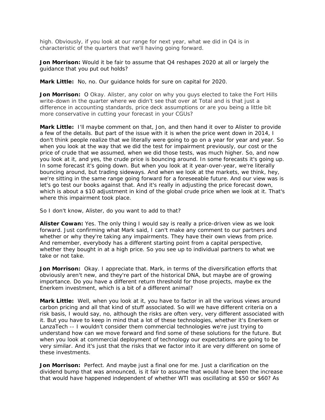high. Obviously, if you look at our range for next year, what we did in Q4 is in characteristic of the quarters that we'll having going forward.

**Jon Morrison:** Would it be fair to assume that Q4 reshapes 2020 at all or largely the guidance that you put out holds?

**Mark Little:** No, no. Our guidance holds for sure on capital for 2020.

**Jon Morrison:** O Okay. Alister, any color on why you guys elected to take the Fort Hills write-down in the quarter where we didn't see that over at Total and is that just a difference in accounting standards, price deck assumptions or are you being a little bit more conservative in cutting your forecast in your CGUs?

**Mark Little:** I'll maybe comment on that, Jon, and then hand it over to Alister to provide a few of the details. But part of the issue with it is when the price went down in 2014, I don't think people realize that we literally were going to go on a year for year and year. So when you look at the way that we did the test for impairment previously, our cost or the price of crude that we assumed, when we did those tests, was much higher. So, and now you look at it, and yes, the crude price is bouncing around. In some forecasts it's going up. In some forecast it's going down. But when you look at it year-over-year, we're literally bouncing around, but trading sideways. And when we look at the markets, we think, hey, we're sitting in the same range going forward for a foreseeable future. And our view was is let's go test our books against that. And it's really in adjusting the price forecast down, which is about a \$10 adjustment in kind of the global crude price when we look at it. That's where this impairment took place.

So I don't know, Alister, do you want to add to that?

**Alister Cowan:** Yes. The only thing I would say is really a price-driven view as we look forward. Just confirming what Mark said, I can't make any comment to our partners and whether or why they're taking any impairments. They have their own views from price. And remember, everybody has a different starting point from a capital perspective, whether they bought in at a high price. So you see up to individual partners to what we take or not take.

**Jon Morrison:** Okay. I appreciate that. Mark, in terms of the diversification efforts that obviously aren't new, and they're part of the historical DNA, but maybe are of growing importance. Do you have a different return threshold for those projects, maybe ex the Enerkem investment, which is a bit of a different animal?

**Mark Little:** Well, when you look at it, you have to factor in all the various views around carbon pricing and all that kind of stuff associated. So will we have different criteria on a risk basis, I would say, no, although the risks are often very, very different associated with it. But you have to keep in mind that a lot of these technologies, whether it's Enerkem or LanzaTech -- I wouldn't consider them commercial technologies we're just trying to understand how can we move forward and find some of these solutions for the future. But when you look at commercial deployment of technology our expectations are going to be very similar. And it's just that the risks that we factor into it are very different on some of these investments.

**Jon Morrison:** Perfect. And maybe just a final one for me. Just a clarification on the dividend bump that was announced, is it fair to assume that would have been the increase that would have happened independent of whether WTI was oscillating at \$50 or \$60? As